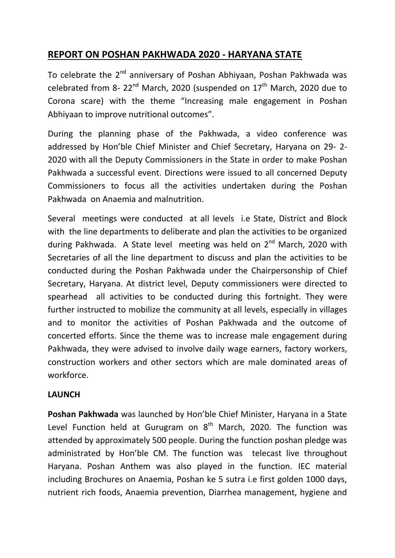# **REPORT ON POSHAN PAKHWADA 2020 - HARYANA STATE**

To celebrate the 2<sup>nd</sup> anniversary of Poshan Abhiyaan, Poshan Pakhwada was celebrated from 8-  $22^{nd}$  March, 2020 (suspended on  $17^{th}$  March, 2020 due to Corona scare) with the theme "Increasing male engagement in Poshan Abhiyaan to improve nutritional outcomes".

During the planning phase of the Pakhwada, a video conference was addressed by Hon'ble Chief Minister and Chief Secretary, Haryana on 29- 2- 2020 with all the Deputy Commissioners in the State in order to make Poshan Pakhwada a successful event. Directions were issued to all concerned Deputy Commissioners to focus all the activities undertaken during the Poshan Pakhwada on Anaemia and malnutrition.

Several meetings were conducted at all levels i.e State, District and Block with the line departments to deliberate and plan the activities to be organized during Pakhwada. A State level meeting was held on 2<sup>nd</sup> March, 2020 with Secretaries of all the line department to discuss and plan the activities to be conducted during the Poshan Pakhwada under the Chairpersonship of Chief Secretary, Haryana. At district level, Deputy commissioners were directed to spearhead all activities to be conducted during this fortnight. They were further instructed to mobilize the community at all levels, especially in villages and to monitor the activities of Poshan Pakhwada and the outcome of concerted efforts. Since the theme was to increase male engagement during Pakhwada, they were advised to involve daily wage earners, factory workers, construction workers and other sectors which are male dominated areas of workforce.

#### **LAUNCH**

**Poshan Pakhwada** was launched by Hon'ble Chief Minister, Haryana in a State Level Function held at Gurugram on  $8<sup>th</sup>$  March, 2020. The function was attended by approximately 500 people. During the function poshan pledge was administrated by Hon'ble CM. The function was telecast live throughout Haryana. Poshan Anthem was also played in the function. IEC material including Brochures on Anaemia, Poshan ke 5 sutra i.e first golden 1000 days, nutrient rich foods, Anaemia prevention, Diarrhea management, hygiene and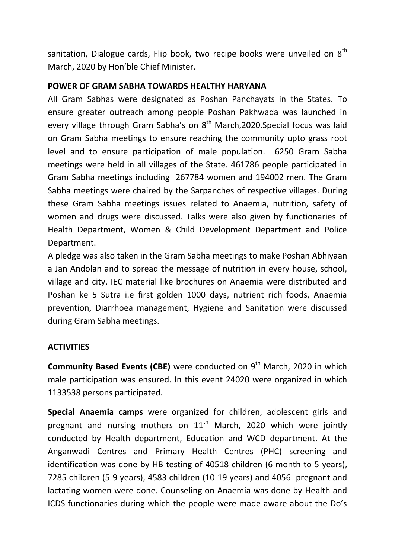sanitation, Dialogue cards, Flip book, two recipe books were unveiled on  $8^{th}$ March, 2020 by Hon'ble Chief Minister.

### **POWER OF GRAM SABHA TOWARDS HEALTHY HARYANA**

All Gram Sabhas were designated as Poshan Panchayats in the States. To ensure greater outreach among people Poshan Pakhwada was launched in every village through Gram Sabha's on  $8<sup>th</sup>$  March,2020.Special focus was laid on Gram Sabha meetings to ensure reaching the community upto grass root level and to ensure participation of male population. 6250 Gram Sabha meetings were held in all villages of the State. 461786 people participated in Gram Sabha meetings including 267784 women and 194002 men. The Gram Sabha meetings were chaired by the Sarpanches of respective villages. During these Gram Sabha meetings issues related to Anaemia, nutrition, safety of women and drugs were discussed. Talks were also given by functionaries of Health Department, Women & Child Development Department and Police Department.

A pledge was also taken in the Gram Sabha meetings to make Poshan Abhiyaan a Jan Andolan and to spread the message of nutrition in every house, school, village and city. IEC material like brochures on Anaemia were distributed and Poshan ke 5 Sutra i.e first golden 1000 days, nutrient rich foods, Anaemia prevention, Diarrhoea management, Hygiene and Sanitation were discussed during Gram Sabha meetings.

## **ACTIVITIES**

**Community Based Events (CBE)** were conducted on 9<sup>th</sup> March, 2020 in which male participation was ensured. In this event 24020 were organized in which 1133538 persons participated.

**Special Anaemia camps** were organized for children, adolescent girls and pregnant and nursing mothers on  $11<sup>th</sup>$  March, 2020 which were jointly conducted by Health department, Education and WCD department. At the Anganwadi Centres and Primary Health Centres (PHC) screening and identification was done by HB testing of 40518 children (6 month to 5 years), 7285 children (5-9 years), 4583 children (10-19 years) and 4056 pregnant and lactating women were done. Counseling on Anaemia was done by Health and ICDS functionaries during which the people were made aware about the Do's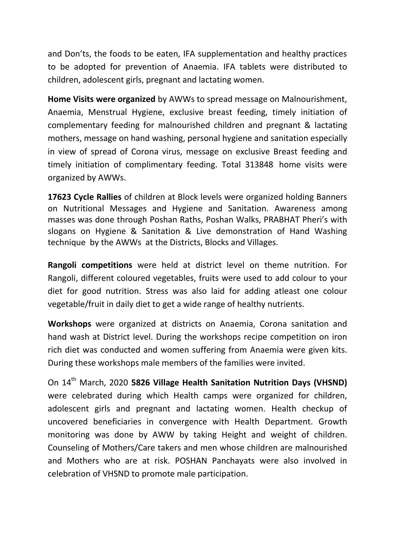and Don'ts, the foods to be eaten, IFA supplementation and healthy practices to be adopted for prevention of Anaemia. IFA tablets were distributed to children, adolescent girls, pregnant and lactating women.

**Home Visits were organized** by AWWs to spread message on Malnourishment, Anaemia, Menstrual Hygiene, exclusive breast feeding, timely initiation of complementary feeding for malnourished children and pregnant & lactating mothers, message on hand washing, personal hygiene and sanitation especially in view of spread of Corona virus, message on exclusive Breast feeding and timely initiation of complimentary feeding. Total 313848 home visits were organized by AWWs.

**17623 Cycle Rallies** of children at Block levels were organized holding Banners on Nutritional Messages and Hygiene and Sanitation. Awareness among masses was done through Poshan Raths, Poshan Walks, PRABHAT Pheri's with slogans on Hygiene & Sanitation & Live demonstration of Hand Washing technique by the AWWs at the Districts, Blocks and Villages.

**Rangoli competitions** were held at district level on theme nutrition. For Rangoli, different coloured vegetables, fruits were used to add colour to your diet for good nutrition. Stress was also laid for adding atleast one colour vegetable/fruit in daily diet to get a wide range of healthy nutrients.

**Workshops** were organized at districts on Anaemia, Corona sanitation and hand wash at District level. During the workshops recipe competition on iron rich diet was conducted and women suffering from Anaemia were given kits. During these workshops male members of the families were invited.

On 14th March, 2020 **5826 Village Health Sanitation Nutrition Days (VHSND)** were celebrated during which Health camps were organized for children, adolescent girls and pregnant and lactating women. Health checkup of uncovered beneficiaries in convergence with Health Department. Growth monitoring was done by AWW by taking Height and weight of children. Counseling of Mothers/Care takers and men whose children are malnourished and Mothers who are at risk. POSHAN Panchayats were also involved in celebration of VHSND to promote male participation.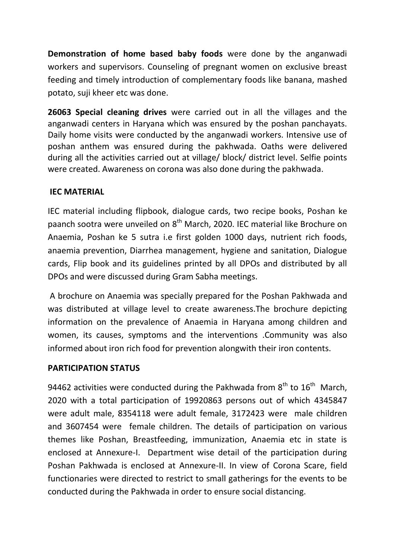**Demonstration of home based baby foods** were done by the anganwadi workers and supervisors. Counseling of pregnant women on exclusive breast feeding and timely introduction of complementary foods like banana, mashed potato, suji kheer etc was done.

**26063 Special cleaning drives** were carried out in all the villages and the anganwadi centers in Haryana which was ensured by the poshan panchayats. Daily home visits were conducted by the anganwadi workers. Intensive use of poshan anthem was ensured during the pakhwada. Oaths were delivered during all the activities carried out at village/ block/ district level. Selfie points were created. Awareness on corona was also done during the pakhwada.

#### **IEC MATERIAL**

IEC material including flipbook, dialogue cards, two recipe books, Poshan ke paanch sootra were unveiled on 8<sup>th</sup> March, 2020. IEC material like Brochure on Anaemia, Poshan ke 5 sutra i.e first golden 1000 days, nutrient rich foods, anaemia prevention, Diarrhea management, hygiene and sanitation, Dialogue cards, Flip book and its guidelines printed by all DPOs and distributed by all DPOs and were discussed during Gram Sabha meetings.

A brochure on Anaemia was specially prepared for the Poshan Pakhwada and was distributed at village level to create awareness.The brochure depicting information on the prevalence of Anaemia in Haryana among children and women, its causes, symptoms and the interventions .Community was also informed about iron rich food for prevention alongwith their iron contents.

#### **PARTICIPATION STATUS**

94462 activities were conducted during the Pakhwada from  $8^{th}$  to  $16^{th}$  March, 2020 with a total participation of 19920863 persons out of which 4345847 were adult male, 8354118 were adult female, 3172423 were male children and 3607454 were female children. The details of participation on various themes like Poshan, Breastfeeding, immunization, Anaemia etc in state is enclosed at Annexure-I. Department wise detail of the participation during Poshan Pakhwada is enclosed at Annexure-II. In view of Corona Scare, field functionaries were directed to restrict to small gatherings for the events to be conducted during the Pakhwada in order to ensure social distancing.